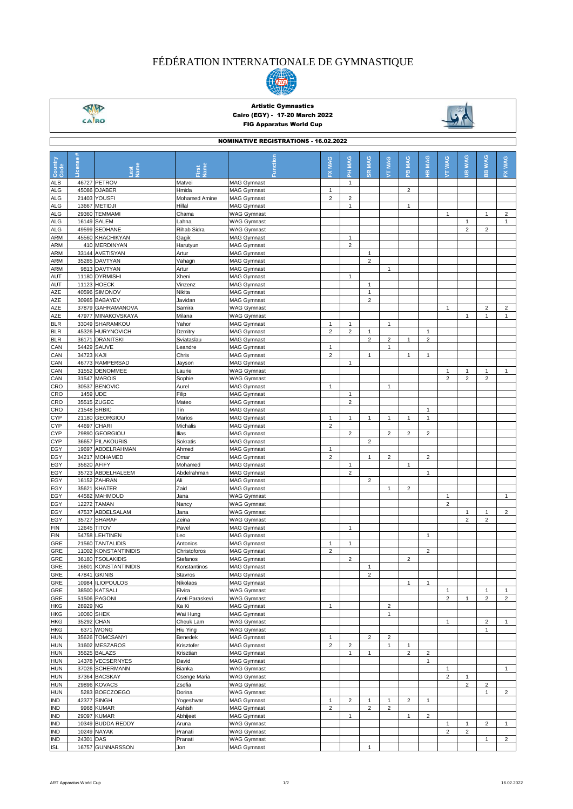## FÉDÉRATION INTERNATIONALE DE GYMNASTIQUE



 $\frac{\sqrt{M}}{\sqrt{M}}$ 

## Artistic Gymnastics Cairo (EGY) - 17-20 March 2022 FIG Apparatus World Cup



| <b>NOMINATIVE REGISTRATIONS - 16.02.2022</b> |            |                                          |                                |                                          |                                         |                                |                |                                |                            |                 |                |                |                             |                         |
|----------------------------------------------|------------|------------------------------------------|--------------------------------|------------------------------------------|-----------------------------------------|--------------------------------|----------------|--------------------------------|----------------------------|-----------------|----------------|----------------|-----------------------------|-------------------------|
| Country<br>Code                              | License    | Vame<br>-ast                             | lame                           | Function                                 | MAG<br>ᆇ                                | PH MAG                         | <b>SR MAG</b>  | <b>JT MAG</b>                  | <b>MAG</b><br>$\mathbf{e}$ | <b>MAG</b><br>옾 | <b>JT WAG</b>  | <b>JIB WAG</b> | <b>WAG</b><br>$\frac{m}{m}$ | FX WAG                  |
| <b>ALB</b>                                   |            | 46727 PETROV                             | Matvei                         | <b>MAG Gymnast</b>                       |                                         | $\mathbf{1}$                   |                |                                |                            |                 |                |                |                             |                         |
| <b>ALG</b>                                   |            | 45086 DJABER                             | Hmida                          | <b>MAG Gymnast</b>                       | $\mathbf{1}$                            |                                |                |                                | $\overline{2}$             |                 |                |                |                             |                         |
| ALG<br><b>ALG</b>                            |            | 21403 YOUSFI<br>13667 METIDJI            | <b>Mohamed Amine</b><br>Hillal | <b>MAG Gymnast</b><br><b>MAG Gymnast</b> | $\overline{c}$                          | $\sqrt{2}$<br>$\mathbf{1}$     |                |                                | $\mathbf{1}$               |                 |                |                |                             |                         |
| ALG                                          | 29360      | <b>TEMMAMI</b>                           | Chama                          | <b>WAG Gymnast</b>                       |                                         |                                |                |                                |                            |                 | $\overline{1}$ |                | $\mathbf{1}$                | $\overline{\mathbf{c}}$ |
| <b>ALG</b>                                   |            | 16149 SALEM                              | Lahna                          | <b>WAG Gymnast</b>                       |                                         |                                |                |                                |                            |                 |                | $\mathbf{1}$   |                             | $\mathbf{1}$            |
| ALG                                          |            | 49599 SEDHANE                            | Rihab Sidra                    | <b>WAG Gymnast</b>                       |                                         |                                |                |                                |                            |                 |                | $\overline{2}$ | $\overline{2}$              |                         |
| <b>ARM</b>                                   |            | 45560 KHACHIKYAN                         | Gagik                          | <b>MAG Gymnast</b>                       |                                         | $\mathbf{1}$                   |                |                                |                            |                 |                |                |                             |                         |
| ARM                                          |            | 410 MERDINYAN                            | Harutyun                       | <b>MAG Gymnast</b>                       |                                         | $\overline{2}$                 |                |                                |                            |                 |                |                |                             |                         |
| ARM                                          |            | 33144 AVETISYAN                          | Artur                          | <b>MAG Gymnast</b>                       |                                         |                                | $\mathbf{1}$   |                                |                            |                 |                |                |                             |                         |
| <b>ARM</b><br>ARM                            |            | 35285 DAVTYAN<br>9813 DAVTYAN            | Vahagn<br>Artur                | <b>MAG Gymnast</b><br><b>MAG Gymnast</b> |                                         |                                | $\overline{2}$ | $\mathbf{1}$                   |                            |                 |                |                |                             |                         |
| AUT                                          |            | 11180 DYRMISHI                           | Xheni                          | <b>MAG Gymnast</b>                       |                                         | $\mathbf{1}$                   |                |                                |                            |                 |                |                |                             |                         |
| AUT                                          |            | 11123 HOECK                              | Vinzenz                        | <b>MAG Gymnast</b>                       |                                         |                                | $\mathbf{1}$   |                                |                            |                 |                |                |                             |                         |
| <b>AZE</b>                                   |            | 40596 SIMONOV                            | Nikita                         | <b>MAG Gymnast</b>                       |                                         |                                | $\mathbf{1}$   |                                |                            |                 |                |                |                             |                         |
| AZE                                          |            | 30965 BABAYEV                            | Javidan                        | <b>MAG Gymnast</b>                       |                                         |                                | $\overline{2}$ |                                |                            |                 |                |                |                             |                         |
| AZE                                          |            | 37879 GAHRAMANOVA                        | Samira                         | <b>WAG Gymnast</b>                       |                                         |                                |                |                                |                            |                 | $\mathbf{1}$   |                | $\overline{2}$              | $\overline{\mathbf{c}}$ |
| AZE                                          |            | 47977 MINAKOVSKAYA                       | Milana                         | <b>WAG Gymnast</b>                       |                                         |                                |                |                                |                            |                 |                | 1              | $\mathbf{1}$                | $\mathbf{1}$            |
| <b>BLR</b><br><b>BLR</b>                     |            | 33049 SHARAMKOU<br>45326 HURYNOVICH      | Yahor<br>Dzmitry               | <b>MAG Gymnast</b><br><b>MAG Gymnast</b> | $\mathbf{1}$<br>$\overline{2}$          | $\mathbf{1}$<br>$\overline{2}$ | $\mathbf{1}$   | $\mathbf{1}$                   |                            | 1               |                |                |                             |                         |
| <b>BLR</b>                                   |            | 36171 DRANITSKI                          | Sviataslau                     | <b>MAG Gymnast</b>                       |                                         |                                | $\overline{2}$ | $\overline{2}$                 | $\mathbf{1}$               | $\overline{2}$  |                |                |                             |                         |
| CAN                                          |            | 54429 SAUVE                              | Leandre                        | <b>MAG Gymnast</b>                       | $\mathbf{1}$                            |                                |                | $\mathbf{1}$                   |                            |                 |                |                |                             |                         |
| CAN                                          | 34723 KAJI |                                          | Chris                          | <b>MAG Gymnast</b>                       | $\overline{2}$                          |                                | $\mathbf{1}$   |                                | $\mathbf{1}$               | $\mathbf{1}$    |                |                |                             |                         |
| CAN                                          |            | 46773 RAMPERSAD                          | Jayson                         | <b>MAG Gymnast</b>                       |                                         | $\mathbf{1}$                   |                |                                |                            |                 |                |                |                             |                         |
| CAN                                          |            | 31552 DENOMMEE                           | Laurie                         | <b>WAG Gymnast</b>                       |                                         |                                |                |                                |                            |                 | $\mathbf{1}$   | $\mathbf{1}$   | $\mathbf{1}$                | $\mathbf{1}$            |
| CAN                                          |            | 31547 MAROIS                             | Sophie                         | <b>WAG Gymnast</b>                       |                                         |                                |                |                                |                            |                 | $\overline{2}$ | $\overline{2}$ | $\overline{2}$              |                         |
| CRO                                          |            | 30537 BENOVIC                            | Aurel                          | <b>MAG Gymnast</b>                       | $\mathbf{1}$                            |                                |                | $\mathbf{1}$                   |                            |                 |                |                |                             |                         |
| <b>CRO</b>                                   | 1459       | <b>UDE</b>                               | Filip                          | <b>MAG Gymnast</b>                       |                                         | $\mathbf{1}$                   |                |                                |                            |                 |                |                |                             |                         |
| CRO                                          |            | 35515 ZUGEC                              | Mateo<br>Tin                   | <b>MAG Gymnast</b>                       |                                         | $\overline{c}$                 |                |                                |                            | 1               |                |                |                             |                         |
| CRO<br><b>CYP</b>                            | 21548      | <b>SRBIC</b><br>21180 GEORGIOU           | Marios                         | <b>MAG Gymnast</b><br><b>MAG Gymnast</b> | $\mathbf{1}$                            | $\mathbf{1}$                   | $\mathbf{1}$   | $\mathbf{1}$                   | $\mathbf{1}$               | 1               |                |                |                             |                         |
| <b>CYP</b>                                   |            | 44697 CHARI                              | Michalis                       | <b>MAG Gymnast</b>                       | $\overline{2}$                          |                                |                |                                |                            |                 |                |                |                             |                         |
| <b>CYP</b>                                   |            | 29890 GEORGIOU                           | Ilias                          | <b>MAG Gymnast</b>                       |                                         | $\overline{2}$                 |                | $\overline{2}$                 | 2                          | $\overline{2}$  |                |                |                             |                         |
| <b>CYP</b>                                   |            | 36657 PILAKOURIS                         | Sokratis                       | <b>MAG Gymnast</b>                       |                                         |                                | $\overline{2}$ |                                |                            |                 |                |                |                             |                         |
| EGY                                          |            | 19697 ABDELRAHMAN                        | Ahmed                          | <b>MAG Gymnast</b>                       | $\mathbf{1}$                            |                                |                |                                |                            |                 |                |                |                             |                         |
| EGY                                          |            | 34217 MOHAMED                            | Omar                           | <b>MAG Gymnast</b>                       | $\overline{2}$                          |                                | $\mathbf{1}$   | $\overline{2}$                 |                            | $\overline{2}$  |                |                |                             |                         |
| EGY                                          |            | 35620 AFIFY                              | Mohamed                        | <b>MAG Gymnast</b>                       |                                         | $\mathbf{1}$                   |                |                                | $\mathbf{1}$               |                 |                |                |                             |                         |
| EGY                                          |            | 35723 ABDELHALEEM                        | Abdelrahman                    | <b>MAG Gymnast</b>                       |                                         | $\overline{2}$                 |                |                                |                            | 1               |                |                |                             |                         |
| EGY                                          |            | 16152 ZAHRAN                             | Ali<br>Zaid                    | <b>MAG Gymnast</b>                       |                                         |                                | $\overline{2}$ | $\mathbf{1}$                   |                            |                 |                |                |                             |                         |
| EGY<br>EGY                                   |            | 35621 KHATER<br>44582 MAHMOUD            | Jana                           | <b>MAG Gymnast</b><br><b>WAG Gymnast</b> |                                         |                                |                |                                | $\overline{\mathbf{c}}$    |                 | $\overline{1}$ |                |                             | $\mathbf{1}$            |
| EGY                                          |            | <b>12272 TAMAN</b>                       | Nancy                          | <b>WAG Gymnast</b>                       |                                         |                                |                |                                |                            |                 | $\overline{2}$ |                |                             |                         |
| EGY                                          |            | 47537 ABDELSALAM                         | Jana                           | <b>WAG Gymnast</b>                       |                                         |                                |                |                                |                            |                 |                | 1              | $\mathbf{1}$                | $\overline{c}$          |
| EGY                                          |            | 35727 SHARAF                             | Zeina                          | <b>WAG Gymnast</b>                       |                                         |                                |                |                                |                            |                 |                | $\overline{2}$ | $\overline{c}$              |                         |
| <b>FIN</b>                                   |            | 12645 TITOV                              | Pavel                          | <b>MAG Gymnast</b>                       |                                         | $\mathbf{1}$                   |                |                                |                            |                 |                |                |                             |                         |
| <b>FIN</b>                                   |            | 54758 LEHTINEN                           | Leo                            | <b>MAG Gymnast</b>                       |                                         |                                |                |                                |                            | 1               |                |                |                             |                         |
| GRE                                          |            | 21560 TANTALIDIS                         | Antonios                       | <b>MAG Gymnast</b>                       | $\mathbf{1}$                            | 1                              |                |                                |                            |                 |                |                |                             |                         |
| GRE                                          | 11002      | <b>KONSTANTINIDIS</b>                    | Christoforos                   | <b>MAG Gymnast</b>                       | $\overline{2}$                          |                                |                |                                |                            | $\overline{c}$  |                |                |                             |                         |
| GRE<br>GRE                                   |            | 36180 TSOLAKIDIS<br>16601 KONSTANTINIDIS | Stefanos<br>Konstantinos       | <b>MAG Gymnast</b><br><b>MAG Gymnast</b> |                                         | $\overline{\mathbf{c}}$        | $\mathbf{1}$   |                                | $\overline{c}$             |                 |                |                |                             |                         |
| GRE                                          |            | 47841 GKINIS                             | <b>Stavros</b>                 | <b>MAG Gymnast</b>                       |                                         |                                | 2              |                                |                            |                 |                |                |                             |                         |
| GRE                                          |            | 10984 ILIOPOULOS                         | Nikolaos                       | <b>MAG Gymnast</b>                       |                                         |                                |                |                                | $\mathbf{1}$               | $\mathbf{1}$    |                |                |                             |                         |
| GRE                                          |            | 38500 KATSALI                            | Elvira                         | <b>WAG Gymnast</b>                       |                                         |                                |                |                                |                            |                 | $\mathbf{1}$   |                | $\mathbf{1}$                | $\mathbf{1}$            |
| GRE                                          |            | 51506 PAGONI                             | Areti Paraskevi                | <b>WAG Gymnast</b>                       |                                         |                                |                |                                |                            |                 | $\overline{c}$ | 1              | $\overline{c}$              | $\overline{2}$          |
| HKG                                          | 28929 NG   |                                          | Ka Ki                          | MAG Gymnast                              | $\mathbf{1}$                            |                                |                | $\overline{c}$                 |                            |                 |                |                |                             |                         |
| HKG                                          |            | 10060 SHEK                               | Wai Hung                       | <b>MAG Gymnast</b>                       |                                         |                                |                | $\mathbf{1}$                   |                            |                 |                |                |                             |                         |
| HKG                                          |            | 35292 CHAN                               | Cheuk Lam                      | <b>WAG Gymnast</b>                       |                                         |                                |                |                                |                            |                 | $\mathbf{1}$   |                | $\overline{c}$              | $\mathbf{1}$            |
| <b>HKG</b>                                   |            | 6371 WONG                                | Hiu Ying                       | <b>WAG Gymnast</b>                       |                                         |                                | $\overline{2}$ |                                |                            |                 |                |                | $\mathbf{1}$                |                         |
| <b>HUN</b><br><b>HUN</b>                     |            | 35626 TOMCSANYI<br>31602 MESZAROS        | Benedek<br>Krisztofer          | <b>MAG Gymnast</b><br><b>MAG Gymnast</b> | $\mathbf{1}$<br>$\overline{\mathbf{c}}$ | $\overline{c}$                 |                | $\overline{2}$<br>$\mathbf{1}$ | $\mathbf{1}$               |                 |                |                |                             |                         |
| <b>HUN</b>                                   |            | 35625 BALAZS                             | Krisztian                      | <b>MAG Gymnast</b>                       |                                         | 1                              | $\mathbf{1}$   |                                | $\overline{2}$             | $\mathbf 2$     |                |                |                             |                         |
| <b>HUN</b>                                   |            | 14378 VECSERNYES                         | David                          | <b>MAG Gymnast</b>                       |                                         |                                |                |                                |                            | 1               |                |                |                             |                         |
| <b>HUN</b>                                   |            | 37026 SCHERMANN                          | Bianka                         | <b>WAG Gymnast</b>                       |                                         |                                |                |                                |                            |                 | $\mathbf{1}$   |                |                             | $\mathbf{1}$            |
| <b>HUN</b>                                   |            | 37364 BACSKAY                            | Csenge Maria                   | <b>WAG Gymnast</b>                       |                                         |                                |                |                                |                            |                 | $\overline{2}$ | $\mathbf{1}$   |                             |                         |
| <b>HUN</b>                                   |            | 29896 KOVACS                             | Zsofia                         | <b>WAG Gymnast</b>                       |                                         |                                |                |                                |                            |                 |                | $\overline{c}$ | $\overline{c}$              |                         |
| <b>HUN</b>                                   |            | 5283 BOECZOEGO                           | Dorina                         | <b>WAG Gymnast</b>                       |                                         |                                |                |                                |                            |                 |                |                | $\mathbf{1}$                | $\overline{c}$          |
| IND                                          |            | 42377 SINGH                              | Yogeshwar                      | <b>MAG Gymnast</b>                       | $\mathbf{1}$                            | $\overline{2}$                 | $\mathbf{1}$   | $\mathbf{1}$                   | $\overline{2}$             | $\mathbf{1}$    |                |                |                             |                         |
| IND<br><b>IND</b>                            |            | 9968 KUMAR<br>29097 KUMAR                | Ashish                         | <b>MAG Gymnast</b>                       | $\overline{c}$                          | $\mathbf{1}$                   | $\overline{2}$ | $\overline{2}$                 |                            | $\mathbf 2$     |                |                |                             |                         |
| <b>IND</b>                                   |            | 10349 BUDDA REDDY                        | Abhijeet<br>Aruna              | <b>MAG Gymnast</b><br><b>WAG Gymnast</b> |                                         |                                |                |                                | 1                          |                 | $\mathbf{1}$   | $\mathbf{1}$   | $\overline{2}$              | $\mathbf{1}$            |
| <b>IND</b>                                   |            | 10249 NAYAK                              | Pranati                        | <b>WAG Gymnast</b>                       |                                         |                                |                |                                |                            |                 | $\overline{2}$ | $\overline{c}$ |                             |                         |
| IND                                          | 24301 DAS  |                                          | Pranati                        | <b>WAG Gymnast</b>                       |                                         |                                |                |                                |                            |                 |                |                | $\mathbf{1}$                | $\overline{2}$          |
| <b>ISL</b>                                   |            | 16757 GUNNARSSON                         | Jon                            | <b>MAG Gymnast</b>                       |                                         |                                | $\overline{1}$ |                                |                            |                 |                |                |                             |                         |